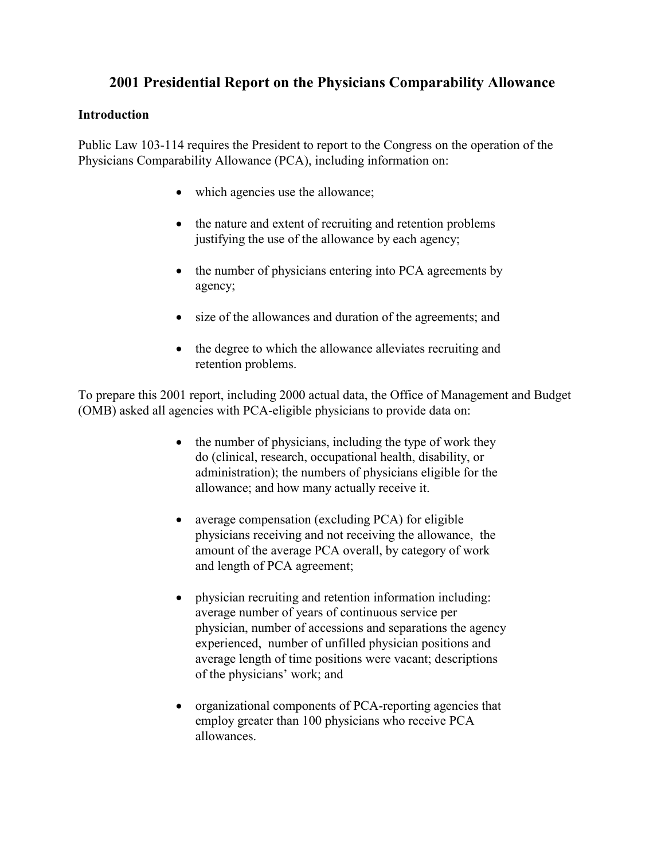# **2001 Presidential Report on the Physicians Comparability Allowance**

# **Introduction**

Public Law 103-114 requires the President to report to the Congress on the operation of the Physicians Comparability Allowance (PCA), including information on:

- which agencies use the allowance;
- the nature and extent of recruiting and retention problems justifying the use of the allowance by each agency;
- the number of physicians entering into PCA agreements by agency;
- size of the allowances and duration of the agreements; and
- the degree to which the allowance alleviates recruiting and retention problems.

To prepare this 2001 report, including 2000 actual data, the Office of Management and Budget (OMB) asked all agencies with PCA-eligible physicians to provide data on:

- the number of physicians, including the type of work they do (clinical, research, occupational health, disability, or administration); the numbers of physicians eligible for the allowance; and how many actually receive it.
- average compensation (excluding PCA) for eligible physicians receiving and not receiving the allowance, the amount of the average PCA overall, by category of work and length of PCA agreement;
- physician recruiting and retention information including: average number of years of continuous service per physician, number of accessions and separations the agency experienced, number of unfilled physician positions and average length of time positions were vacant; descriptions of the physicians' work; and
- organizational components of PCA-reporting agencies that employ greater than 100 physicians who receive PCA allowances.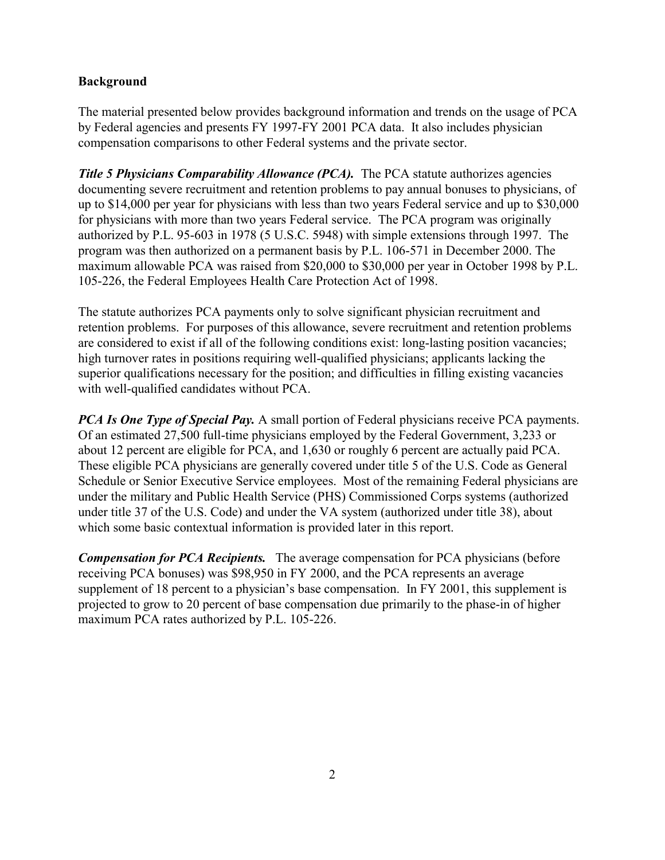# **Background**

The material presented below provides background information and trends on the usage of PCA by Federal agencies and presents FY 1997-FY 2001 PCA data. It also includes physician compensation comparisons to other Federal systems and the private sector.

*Title 5 Physicians Comparability Allowance (PCA).* The PCA statute authorizes agencies documenting severe recruitment and retention problems to pay annual bonuses to physicians, of up to \$14,000 per year for physicians with less than two years Federal service and up to \$30,000 for physicians with more than two years Federal service. The PCA program was originally authorized by P.L. 95-603 in 1978 (5 U.S.C. 5948) with simple extensions through 1997. The program was then authorized on a permanent basis by P.L. 106-571 in December 2000. The maximum allowable PCA was raised from \$20,000 to \$30,000 per year in October 1998 by P.L. 105-226, the Federal Employees Health Care Protection Act of 1998.

The statute authorizes PCA payments only to solve significant physician recruitment and retention problems. For purposes of this allowance, severe recruitment and retention problems are considered to exist if all of the following conditions exist: long-lasting position vacancies; high turnover rates in positions requiring well-qualified physicians; applicants lacking the superior qualifications necessary for the position; and difficulties in filling existing vacancies with well-qualified candidates without PCA.

*PCA Is One Type of Special Pay.* A small portion of Federal physicians receive PCA payments. Of an estimated 27,500 full-time physicians employed by the Federal Government, 3,233 or about 12 percent are eligible for PCA, and 1,630 or roughly 6 percent are actually paid PCA. These eligible PCA physicians are generally covered under title 5 of the U.S. Code as General Schedule or Senior Executive Service employees. Most of the remaining Federal physicians are under the military and Public Health Service (PHS) Commissioned Corps systems (authorized under title 37 of the U.S. Code) and under the VA system (authorized under title 38), about which some basic contextual information is provided later in this report.

*Compensation for PCA Recipients.* The average compensation for PCA physicians (before receiving PCA bonuses) was \$98,950 in FY 2000, and the PCA represents an average supplement of 18 percent to a physician's base compensation. In FY 2001, this supplement is projected to grow to 20 percent of base compensation due primarily to the phase-in of higher maximum PCA rates authorized by P.L. 105-226.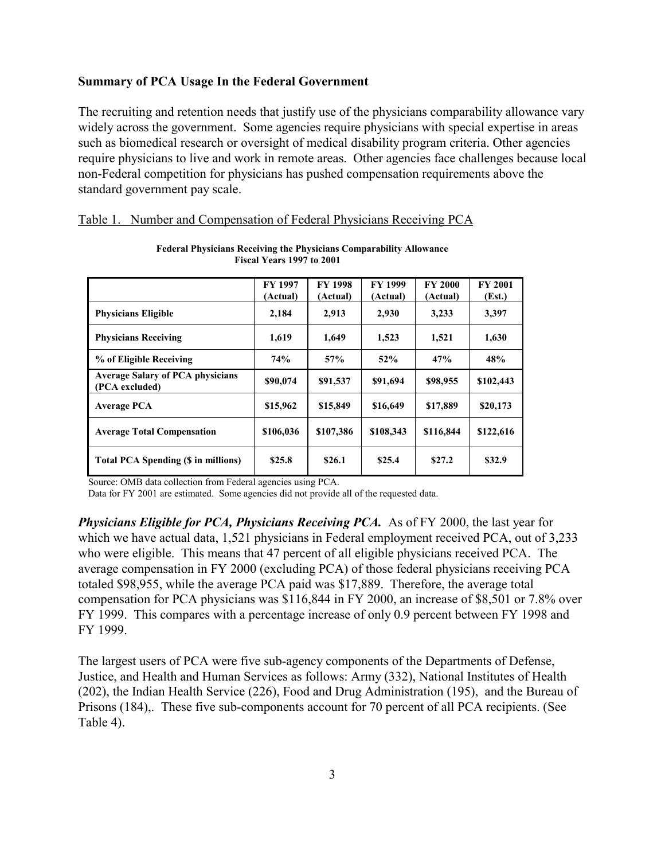### **Summary of PCA Usage In the Federal Government**

The recruiting and retention needs that justify use of the physicians comparability allowance vary widely across the government. Some agencies require physicians with special expertise in areas such as biomedical research or oversight of medical disability program criteria. Other agencies require physicians to live and work in remote areas. Other agencies face challenges because local non-Federal competition for physicians has pushed compensation requirements above the standard government pay scale.

|                                                           | <b>FY 1997</b><br>(Actual) | <b>FY 1998</b><br>(Actual) | <b>FY 1999</b><br>(Actual) | <b>FY 2000</b><br>(Actual) | <b>FY 2001</b><br>(Est.) |
|-----------------------------------------------------------|----------------------------|----------------------------|----------------------------|----------------------------|--------------------------|
| <b>Physicians Eligible</b>                                | 2,184                      | 2,913                      | 2,930                      | 3,233                      | 3,397                    |
| <b>Physicians Receiving</b>                               | 1,619                      | 1,649                      | 1,523                      | 1,521                      | 1,630                    |
| % of Eligible Receiving                                   | 74%                        | 57%                        | 52%                        | 47%                        | 48%                      |
| <b>Average Salary of PCA physicians</b><br>(PCA excluded) | \$90,074                   | \$91,537                   | \$91,694                   | \$98,955                   | \$102,443                |
| <b>Average PCA</b>                                        | \$15,962                   | \$15,849                   | \$16,649                   | \$17,889                   | \$20,173                 |
| <b>Average Total Compensation</b>                         | \$106,036                  | \$107,386                  | \$108,343                  | \$116,844                  | \$122,616                |
| <b>Total PCA Spending (\$ in millions)</b>                | \$25.8                     | \$26.1                     | \$25.4                     | \$27.2                     | \$32.9                   |

**Federal Physicians Receiving the Physicians Comparability Allowance Fiscal Years 1997 to 2001** 

| Table 1. Number and Compensation of Federal Physicians Receiving PCA |  |  |  |
|----------------------------------------------------------------------|--|--|--|
|                                                                      |  |  |  |

Source: OMB data collection from Federal agencies using PCA.

Data for FY 2001 are estimated. Some agencies did not provide all of the requested data.

*Physicians Eligible for PCA, Physicians Receiving PCA.* As of FY 2000, the last year for which we have actual data, 1,521 physicians in Federal employment received PCA, out of 3,233 who were eligible. This means that 47 percent of all eligible physicians received PCA. The average compensation in FY 2000 (excluding PCA) of those federal physicians receiving PCA totaled \$98,955, while the average PCA paid was \$17,889. Therefore, the average total compensation for PCA physicians was \$116,844 in FY 2000, an increase of \$8,501 or 7.8% over FY 1999. This compares with a percentage increase of only 0.9 percent between FY 1998 and FY 1999.

The largest users of PCA were five sub-agency components of the Departments of Defense, Justice, and Health and Human Services as follows: Army (332), National Institutes of Health (202), the Indian Health Service (226), Food and Drug Administration (195), and the Bureau of Prisons (184),. These five sub-components account for 70 percent of all PCA recipients. (See Table 4).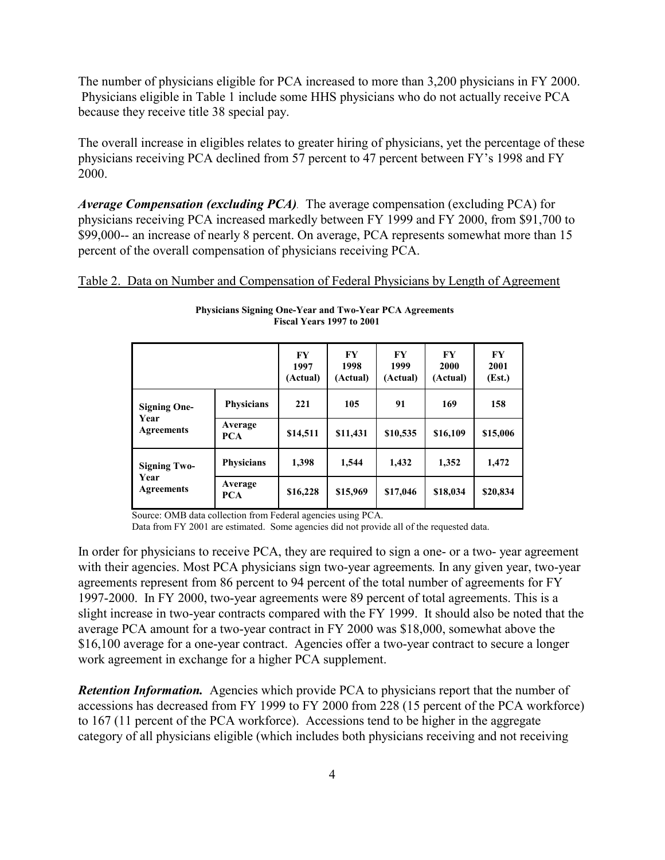The number of physicians eligible for PCA increased to more than 3,200 physicians in FY 2000. Physicians eligible in Table 1 include some HHS physicians who do not actually receive PCA because they receive title 38 special pay.

The overall increase in eligibles relates to greater hiring of physicians, yet the percentage of these physicians receiving PCA declined from 57 percent to 47 percent between FY's 1998 and FY 2000.

*Average Compensation (excluding PCA).* The average compensation (excluding PCA) for physicians receiving PCA increased markedly between FY 1999 and FY 2000, from \$91,700 to \$99,000-- an increase of nearly 8 percent. On average, PCA represents somewhat more than 15 percent of the overall compensation of physicians receiving PCA.

Table 2. Data on Number and Compensation of Federal Physicians by Length of Agreement

|                                                  |                       | $\bf{F}Y$<br>1997<br>(Actual) | <b>FY</b><br>1998<br>(Actual) | <b>FY</b><br>1999<br>(Actual) | F <sub>Y</sub><br>2000<br>(Actual) | <b>FY</b><br>2001<br>(Est.) |
|--------------------------------------------------|-----------------------|-------------------------------|-------------------------------|-------------------------------|------------------------------------|-----------------------------|
| <b>Signing One-</b><br>Year<br><b>Agreements</b> | <b>Physicians</b>     | 221                           | 105<br>91                     |                               | 169                                | 158                         |
|                                                  | Average<br><b>PCA</b> | \$14,511                      | \$11,431                      | \$10,535                      | \$16,109                           | \$15,006                    |
| <b>Signing Two-</b><br>Year<br><b>Agreements</b> | <b>Physicians</b>     | 1,398                         | 1,544                         | 1,432                         | 1,352                              | 1,472                       |
|                                                  | Average<br><b>PCA</b> | \$16,228                      | \$15,969                      | \$17,046                      | \$18,034                           | \$20,834                    |

**Physicians Signing One-Year and Two-Year PCA Agreements Fiscal Years 1997 to 2001** 

Source: OMB data collection from Federal agencies using PCA.

Data from FY 2001 are estimated. Some agencies did not provide all of the requested data.

In order for physicians to receive PCA, they are required to sign a one- or a two- year agreement with their agencies. Most PCA physicians sign two-year agreements*.* In any given year, two-year agreements represent from 86 percent to 94 percent of the total number of agreements for FY 1997-2000. In FY 2000, two-year agreements were 89 percent of total agreements. This is a slight increase in two-year contracts compared with the FY 1999. It should also be noted that the average PCA amount for a two-year contract in FY 2000 was \$18,000, somewhat above the \$16,100 average for a one-year contract. Agencies offer a two-year contract to secure a longer work agreement in exchange for a higher PCA supplement.

*Retention Information.* Agencies which provide PCA to physicians report that the number of accessions has decreased from FY 1999 to FY 2000 from 228 (15 percent of the PCA workforce) to 167 (11 percent of the PCA workforce). Accessions tend to be higher in the aggregate category of all physicians eligible (which includes both physicians receiving and not receiving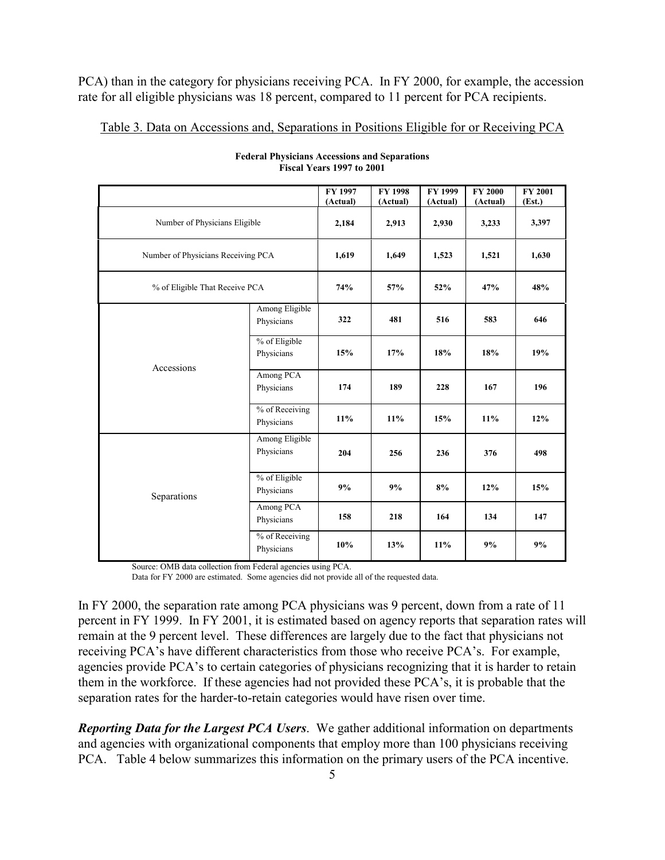PCA) than in the category for physicians receiving PCA. In FY 2000, for example, the accession rate for all eligible physicians was 18 percent, compared to 11 percent for PCA recipients.

Table 3. Data on Accessions and, Separations in Positions Eligible for or Receiving PCA

|                                    |                              | FY 1997<br>(Actual) | <b>FY 1998</b><br>(Actual) | FY 1999<br>(Actual) | <b>FY 2000</b><br>(Actual) | <b>FY 2001</b><br>(Est.) |
|------------------------------------|------------------------------|---------------------|----------------------------|---------------------|----------------------------|--------------------------|
| Number of Physicians Eligible      |                              | 2,184               | 2,913                      | 2,930               | 3,233                      | 3,397                    |
| Number of Physicians Receiving PCA |                              | 1,619               | 1,649                      | 1,523               | 1,521                      | 1,630                    |
| % of Eligible That Receive PCA     |                              | 74%                 | 57%                        | 52%                 | 47%                        | 48%                      |
| Accessions                         | Among Eligible<br>Physicians | 322                 | 481                        | 516                 | 583                        | 646                      |
|                                    | % of Eligible<br>Physicians  | 15%                 | 17%                        | 18%                 | 18%                        | 19%                      |
|                                    | Among PCA<br>Physicians      | 174                 | 189                        | 228                 | 167                        | 196                      |
|                                    | % of Receiving<br>Physicians | 11%                 | 11%                        | 15%                 | $11\%$                     | 12%                      |
| Separations                        | Among Eligible<br>Physicians | 204                 | 256                        | 236                 | 376                        | 498                      |
|                                    | % of Eligible<br>Physicians  | 9%                  | 9%                         | 8%                  | 12%                        | 15%                      |
|                                    | Among PCA<br>Physicians      | 158                 | 218                        | 164                 | 134                        | 147                      |
|                                    | % of Receiving<br>Physicians | 10%                 | 13%                        | 11%                 | 9%                         | 9%                       |

**Federal Physicians Accessions and Separations Fiscal Years 1997 to 2001** 

Source: OMB data collection from Federal agencies using PCA.

Data for FY 2000 are estimated. Some agencies did not provide all of the requested data.

In FY 2000, the separation rate among PCA physicians was 9 percent, down from a rate of 11 percent in FY 1999. In FY 2001, it is estimated based on agency reports that separation rates will remain at the 9 percent level. These differences are largely due to the fact that physicians not receiving PCA's have different characteristics from those who receive PCA's. For example, agencies provide PCA's to certain categories of physicians recognizing that it is harder to retain them in the workforce. If these agencies had not provided these PCA's, it is probable that the separation rates for the harder-to-retain categories would have risen over time.

*Reporting Data for the Largest PCA Users*. We gather additional information on departments and agencies with organizational components that employ more than 100 physicians receiving PCA. Table 4 below summarizes this information on the primary users of the PCA incentive.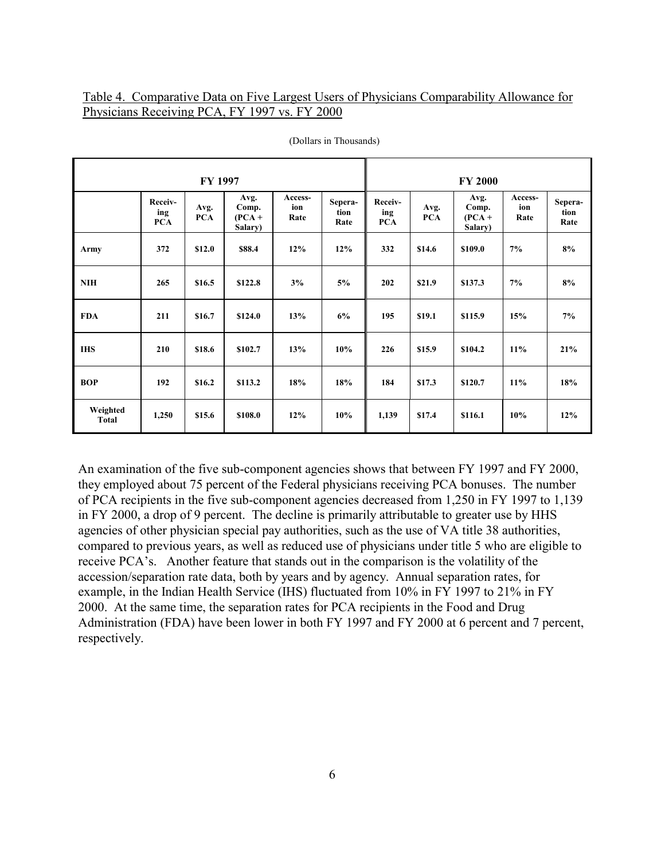## Table 4. Comparative Data on Five Largest Users of Physicians Comparability Allowance for Physicians Receiving PCA, FY 1997 vs. FY 2000

| <b>FY 1997</b>           |                              |                    |                                      |                        | <b>FY 2000</b>          |                              |                    |                                      |                        |                         |
|--------------------------|------------------------------|--------------------|--------------------------------------|------------------------|-------------------------|------------------------------|--------------------|--------------------------------------|------------------------|-------------------------|
|                          | Receiv-<br>ing<br><b>PCA</b> | Avg.<br><b>PCA</b> | Avg.<br>Comp.<br>$(PCA +$<br>Salary) | Access-<br>ion<br>Rate | Sepera-<br>tion<br>Rate | Receiv-<br>ing<br><b>PCA</b> | Avg.<br><b>PCA</b> | Avg.<br>Comp.<br>$(PCA +$<br>Salary) | Access-<br>ion<br>Rate | Sepera-<br>tion<br>Rate |
| Army                     | 372                          | \$12.0             | \$88.4                               | 12%                    | 12%                     | 332                          | \$14.6             | \$109.0                              | 7%                     | 8%                      |
| <b>NIH</b>               | 265                          | \$16.5             | \$122.8                              | 3%                     | 5%                      | 202                          | \$21.9             | \$137.3                              | 7%                     | 8%                      |
| <b>FDA</b>               | 211                          | \$16.7             | \$124.0                              | 13%                    | 6%                      | 195                          | \$19.1             | \$115.9                              | 15%                    | 7%                      |
| <b>IHS</b>               | 210                          | \$18.6             | \$102.7                              | 13%                    | 10%                     | 226                          | \$15.9             | \$104.2                              | 11%                    | 21%                     |
| <b>BOP</b>               | 192                          | \$16.2             | \$113.2                              | 18%                    | 18%                     | 184                          | \$17.3             | \$120.7                              | 11%                    | 18%                     |
| Weighted<br><b>Total</b> | 1,250                        | \$15.6             | \$108.0                              | 12%                    | 10%                     | 1,139                        | \$17.4             | \$116.1                              | 10%                    | 12%                     |

(Dollars in Thousands)

An examination of the five sub-component agencies shows that between FY 1997 and FY 2000, they employed about 75 percent of the Federal physicians receiving PCA bonuses. The number of PCA recipients in the five sub-component agencies decreased from 1,250 in FY 1997 to 1,139 in FY 2000, a drop of 9 percent. The decline is primarily attributable to greater use by HHS agencies of other physician special pay authorities, such as the use of VA title 38 authorities, compared to previous years, as well as reduced use of physicians under title 5 who are eligible to receive PCA's. Another feature that stands out in the comparison is the volatility of the accession/separation rate data, both by years and by agency. Annual separation rates, for example, in the Indian Health Service (IHS) fluctuated from 10% in FY 1997 to 21% in FY 2000. At the same time, the separation rates for PCA recipients in the Food and Drug Administration (FDA) have been lower in both FY 1997 and FY 2000 at 6 percent and 7 percent, respectively.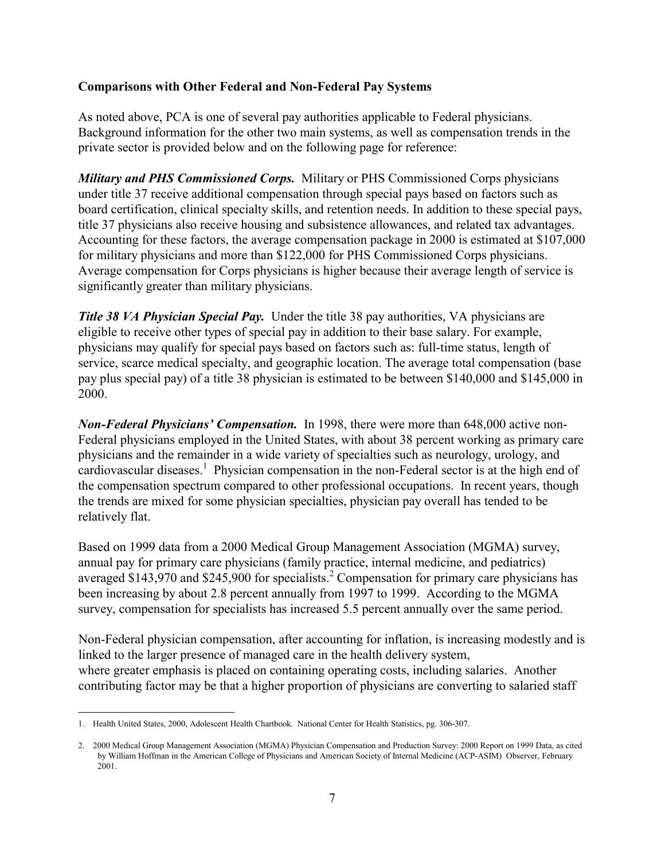# **Comparisons with Other Federal and Non-Federal Pay Systems**

As noted above, PCA is one of several pay authorities applicable to Federal physicians. Background information for the other two main systems, as well as compensation trends in the private sector is provided below and on the following page for reference:

*Military and PHS Commissioned Corps.* Military or PHS Commissioned Corps physicians under title 37 receive additional compensation through special pays based on factors such as board certification, clinical specialty skills, and retention needs. In addition to these special pays, title 37 physicians also receive housing and subsistence allowances, and related tax advantages. Accounting for these factors, the average compensation package in 2000 is estimated at \$107,000 for military physicians and more than \$122,000 for PHS Commissioned Corps physicians. Average compensation for Corps physicians is higher because their average length of service is significantly greater than military physicians.

*Title 38 VA Physician Special Pay.* Under the title 38 pay authorities, VA physicians are eligible to receive other types of special pay in addition to their base salary. For example, physicians may qualify for special pays based on factors such as: full-time status, length of service, scarce medical specialty, and geographic location. The average total compensation (base pay plus special pay) of a title 38 physician is estimated to be between \$140,000 and \$145,000 in 2000.

*Non-Federal Physicians' Compensation.* In 1998, there were more than 648,000 active non-Federal physicians employed in the United States, with about 38 percent working as primary care physicians and the remainder in a wide variety of specialties such as neurology, urology, and cardiovascular diseases.<sup>1</sup> Physician compensation in the non-Federal sector is at the high end of the compensation spectrum compared to other professional occupations. In recent years, though the trends are mixed for some physician specialties, physician pay overall has tended to be relatively flat.

Based on 1999 data from a 2000 Medical Group Management Association (MGMA) survey, annual pay for primary care physicians (family practice, internal medicine, and pediatrics) averaged \$143,970 and \$245,900 for specialists.<sup>2</sup> Compensation for primary care physicians has been increasing by about 2.8 percent annually from 1997 to 1999. According to the MGMA survey, compensation for specialists has increased 5.5 percent annually over the same period.

Non-Federal physician compensation, after accounting for inflation, is increasing modestly and is linked to the larger presence of managed care in the health delivery system, where greater emphasis is placed on containing operating costs, including salaries. Another contributing factor may be that a higher proportion of physicians are converting to salaried staff

<sup>1.</sup> Health United States, 2000, Adolescent Health Chartbook. National Center for Health Statistics, pg. 306-307.

<sup>2.</sup> 2000 Medical Group Management Association (MGMA) Physician Compensation and Production Survey: 2000 Report on 1999 Data, as cited by William Hoffman in the American College of Physicians and American Society of Internal Medicine (ACP-ASIM) Observer, February 2001.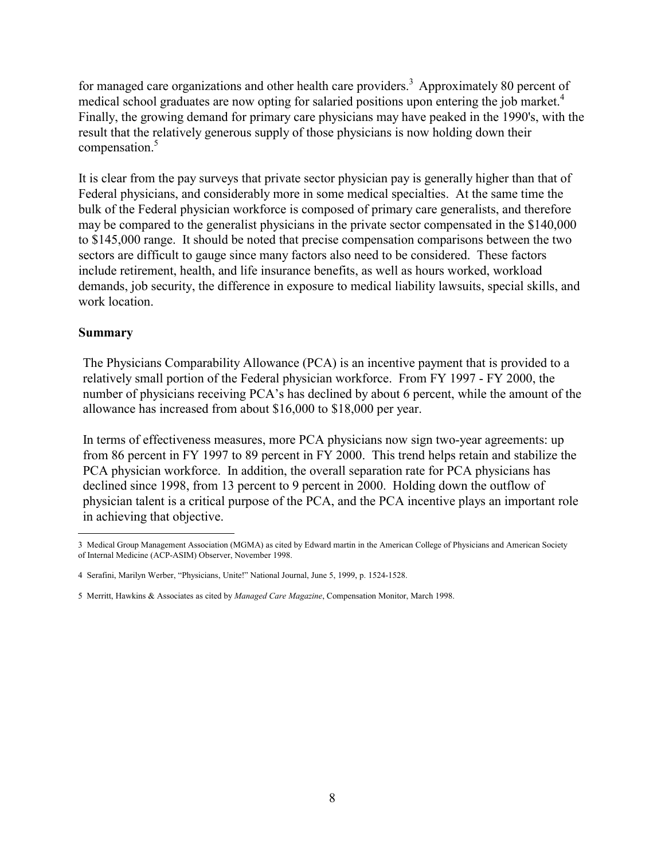for managed care organizations and other health care providers.<sup>3</sup> Approximately 80 percent of medical school graduates are now opting for salaried positions upon entering the job market.<sup>4</sup> Finally, the growing demand for primary care physicians may have peaked in the 1990's, with the result that the relatively generous supply of those physicians is now holding down their compensation.<sup>5</sup>

It is clear from the pay surveys that private sector physician pay is generally higher than that of Federal physicians, and considerably more in some medical specialties. At the same time the bulk of the Federal physician workforce is composed of primary care generalists, and therefore may be compared to the generalist physicians in the private sector compensated in the \$140,000 to \$145,000 range. It should be noted that precise compensation comparisons between the two sectors are difficult to gauge since many factors also need to be considered. These factors include retirement, health, and life insurance benefits, as well as hours worked, workload demands, job security, the difference in exposure to medical liability lawsuits, special skills, and work location

# **Summary**

The Physicians Comparability Allowance (PCA) is an incentive payment that is provided to a relatively small portion of the Federal physician workforce. From FY 1997 - FY 2000, the number of physicians receiving PCA's has declined by about 6 percent, while the amount of the allowance has increased from about \$16,000 to \$18,000 per year.

In terms of effectiveness measures, more PCA physicians now sign two-year agreements: up from 86 percent in FY 1997 to 89 percent in FY 2000. This trend helps retain and stabilize the PCA physician workforce. In addition, the overall separation rate for PCA physicians has declined since 1998, from 13 percent to 9 percent in 2000. Holding down the outflow of physician talent is a critical purpose of the PCA, and the PCA incentive plays an important role in achieving that objective.

<sup>3</sup> Medical Group Management Association (MGMA) as cited by Edward martin in the American College of Physicians and American Society of Internal Medicine (ACP-ASIM) Observer, November 1998.

<sup>4</sup> Serafini, Marilyn Werber, "Physicians, Unite!" National Journal, June 5, 1999, p. 1524-1528.

<sup>5</sup> Merritt, Hawkins & Associates as cited by *Managed Care Magazine*, Compensation Monitor, March 1998.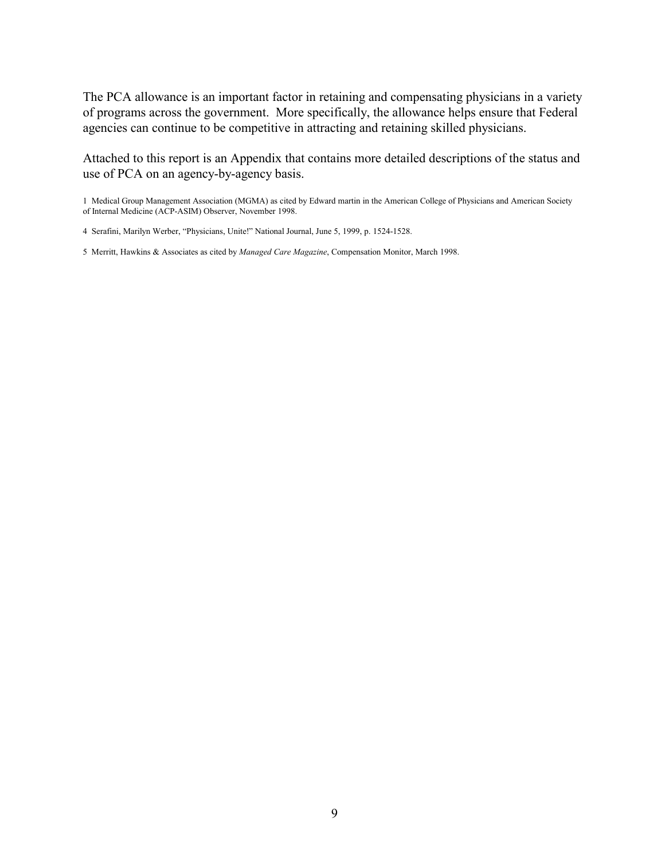The PCA allowance is an important factor in retaining and compensating physicians in a variety of programs across the government. More specifically, the allowance helps ensure that Federal agencies can continue to be competitive in attracting and retaining skilled physicians.

Attached to this report is an Appendix that contains more detailed descriptions of the status and use of PCA on an agency-by-agency basis.

1 Medical Group Management Association (MGMA) as cited by Edward martin in the American College of Physicians and American Society of Internal Medicine (ACP-ASIM) Observer, November 1998.

5 Merritt, Hawkins & Associates as cited by *Managed Care Magazine*, Compensation Monitor, March 1998.

<sup>4</sup> Serafini, Marilyn Werber, "Physicians, Unite!" National Journal, June 5, 1999, p. 1524-1528.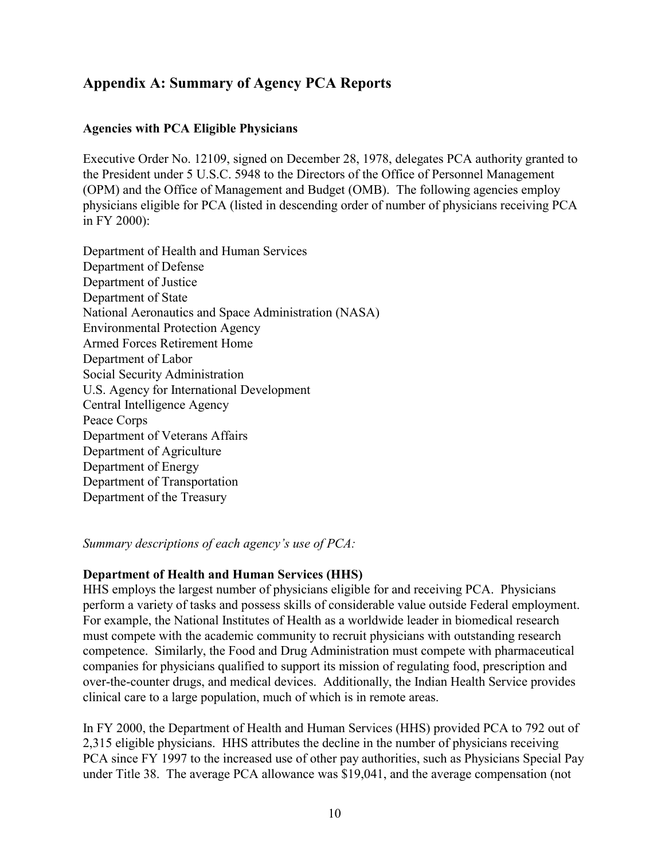# **Appendix A: Summary of Agency PCA Reports**

# **Agencies with PCA Eligible Physicians**

Executive Order No. 12109, signed on December 28, 1978, delegates PCA authority granted to the President under 5 U.S.C. 5948 to the Directors of the Office of Personnel Management (OPM) and the Office of Management and Budget (OMB). The following agencies employ physicians eligible for PCA (listed in descending order of number of physicians receiving PCA in FY 2000):

Department of Health and Human Services Department of Defense Department of Justice Department of State National Aeronautics and Space Administration (NASA) Environmental Protection Agency Armed Forces Retirement Home Department of Labor Social Security Administration U.S. Agency for International Development Central Intelligence Agency Peace Corps Department of Veterans Affairs Department of Agriculture Department of Energy Department of Transportation Department of the Treasury

*Summary descriptions of each agency's use of PCA:* 

### **Department of Health and Human Services (HHS)**

HHS employs the largest number of physicians eligible for and receiving PCA. Physicians perform a variety of tasks and possess skills of considerable value outside Federal employment. For example, the National Institutes of Health as a worldwide leader in biomedical research must compete with the academic community to recruit physicians with outstanding research competence. Similarly, the Food and Drug Administration must compete with pharmaceutical companies for physicians qualified to support its mission of regulating food, prescription and over-the-counter drugs, and medical devices. Additionally, the Indian Health Service provides clinical care to a large population, much of which is in remote areas.

In FY 2000, the Department of Health and Human Services (HHS) provided PCA to 792 out of 2,315 eligible physicians. HHS attributes the decline in the number of physicians receiving PCA since FY 1997 to the increased use of other pay authorities, such as Physicians Special Pay under Title 38. The average PCA allowance was \$19,041, and the average compensation (not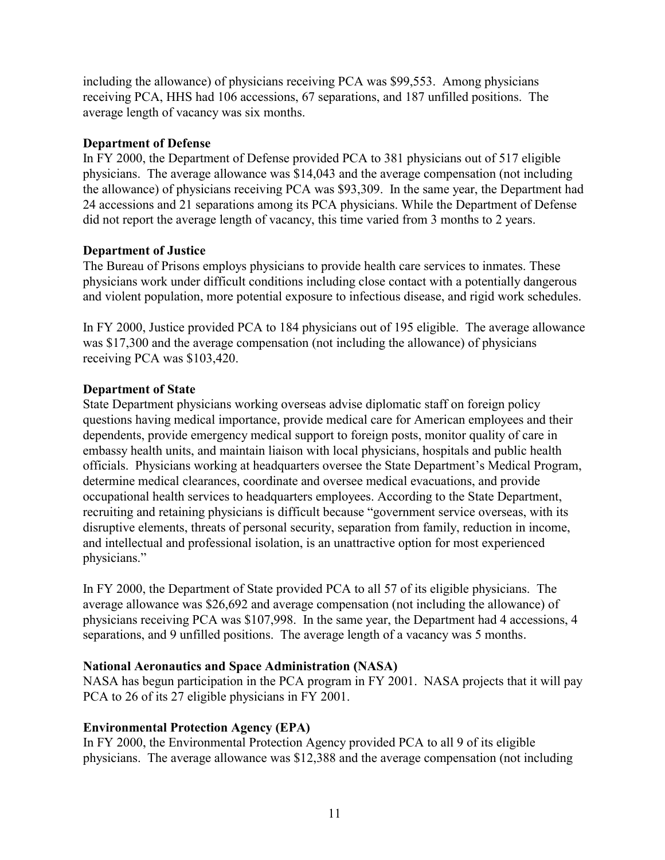including the allowance) of physicians receiving PCA was \$99,553. Among physicians receiving PCA, HHS had 106 accessions, 67 separations, and 187 unfilled positions. The average length of vacancy was six months.

### **Department of Defense**

In FY 2000, the Department of Defense provided PCA to 381 physicians out of 517 eligible physicians. The average allowance was \$14,043 and the average compensation (not including the allowance) of physicians receiving PCA was \$93,309. In the same year, the Department had 24 accessions and 21 separations among its PCA physicians. While the Department of Defense did not report the average length of vacancy, this time varied from 3 months to 2 years.

# **Department of Justice**

The Bureau of Prisons employs physicians to provide health care services to inmates. These physicians work under difficult conditions including close contact with a potentially dangerous and violent population, more potential exposure to infectious disease, and rigid work schedules.

In FY 2000, Justice provided PCA to 184 physicians out of 195 eligible. The average allowance was \$17,300 and the average compensation (not including the allowance) of physicians receiving PCA was \$103,420.

# **Department of State**

State Department physicians working overseas advise diplomatic staff on foreign policy questions having medical importance, provide medical care for American employees and their dependents, provide emergency medical support to foreign posts, monitor quality of care in embassy health units, and maintain liaison with local physicians, hospitals and public health officials. Physicians working at headquarters oversee the State Department's Medical Program, determine medical clearances, coordinate and oversee medical evacuations, and provide occupational health services to headquarters employees. According to the State Department, recruiting and retaining physicians is difficult because "government service overseas, with its disruptive elements, threats of personal security, separation from family, reduction in income, and intellectual and professional isolation, is an unattractive option for most experienced physicians."

In FY 2000, the Department of State provided PCA to all 57 of its eligible physicians. The average allowance was \$26,692 and average compensation (not including the allowance) of physicians receiving PCA was \$107,998. In the same year, the Department had 4 accessions, 4 separations, and 9 unfilled positions. The average length of a vacancy was 5 months.

# **National Aeronautics and Space Administration (NASA)**

NASA has begun participation in the PCA program in FY 2001. NASA projects that it will pay PCA to 26 of its 27 eligible physicians in FY 2001.

# **Environmental Protection Agency (EPA)**

In FY 2000, the Environmental Protection Agency provided PCA to all 9 of its eligible physicians. The average allowance was \$12,388 and the average compensation (not including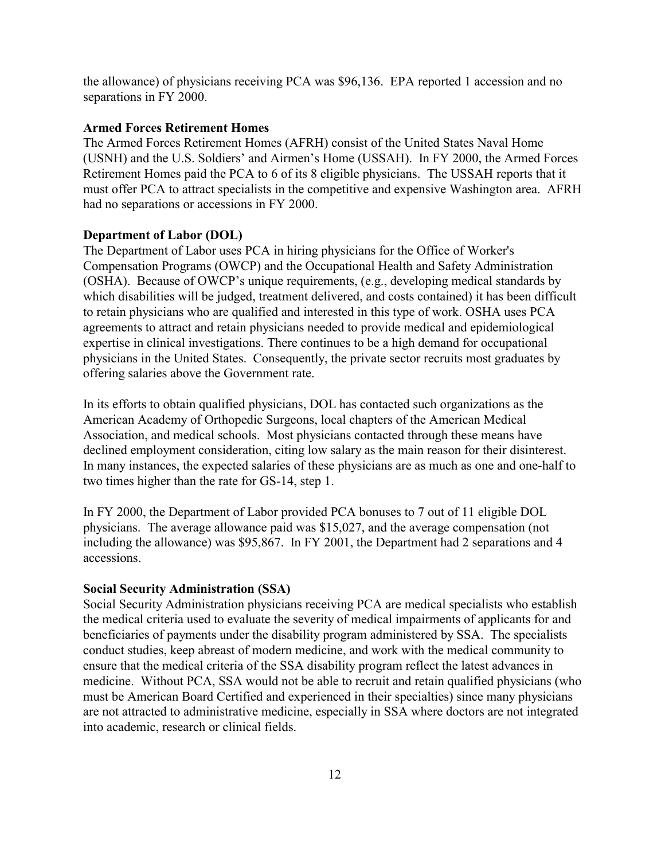the allowance) of physicians receiving PCA was \$96,136. EPA reported 1 accession and no separations in FY 2000.

### **Armed Forces Retirement Homes**

The Armed Forces Retirement Homes (AFRH) consist of the United States Naval Home (USNH) and the U.S. Soldiers' and Airmen's Home (USSAH). In FY 2000, the Armed Forces Retirement Homes paid the PCA to 6 of its 8 eligible physicians. The USSAH reports that it must offer PCA to attract specialists in the competitive and expensive Washington area. AFRH had no separations or accessions in FY 2000.

### **Department of Labor (DOL)**

The Department of Labor uses PCA in hiring physicians for the Office of Worker's Compensation Programs (OWCP) and the Occupational Health and Safety Administration (OSHA). Because of OWCP's unique requirements, (e.g., developing medical standards by which disabilities will be judged, treatment delivered, and costs contained) it has been difficult to retain physicians who are qualified and interested in this type of work. OSHA uses PCA agreements to attract and retain physicians needed to provide medical and epidemiological expertise in clinical investigations. There continues to be a high demand for occupational physicians in the United States. Consequently, the private sector recruits most graduates by offering salaries above the Government rate.

In its efforts to obtain qualified physicians, DOL has contacted such organizations as the American Academy of Orthopedic Surgeons, local chapters of the American Medical Association, and medical schools. Most physicians contacted through these means have declined employment consideration, citing low salary as the main reason for their disinterest. In many instances, the expected salaries of these physicians are as much as one and one-half to two times higher than the rate for GS-14, step 1.

In FY 2000, the Department of Labor provided PCA bonuses to 7 out of 11 eligible DOL physicians. The average allowance paid was \$15,027, and the average compensation (not including the allowance) was \$95,867. In FY 2001, the Department had 2 separations and 4 accessions.

### **Social Security Administration (SSA)**

Social Security Administration physicians receiving PCA are medical specialists who establish the medical criteria used to evaluate the severity of medical impairments of applicants for and beneficiaries of payments under the disability program administered by SSA. The specialists conduct studies, keep abreast of modern medicine, and work with the medical community to ensure that the medical criteria of the SSA disability program reflect the latest advances in medicine. Without PCA, SSA would not be able to recruit and retain qualified physicians (who must be American Board Certified and experienced in their specialties) since many physicians are not attracted to administrative medicine, especially in SSA where doctors are not integrated into academic, research or clinical fields.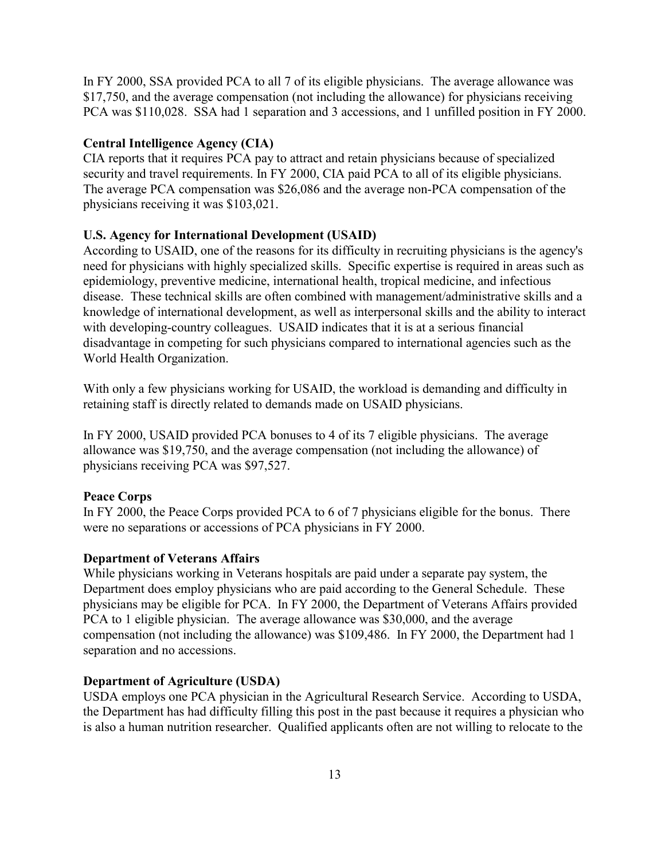In FY 2000, SSA provided PCA to all 7 of its eligible physicians. The average allowance was \$17,750, and the average compensation (not including the allowance) for physicians receiving PCA was \$110,028. SSA had 1 separation and 3 accessions, and 1 unfilled position in FY 2000.

### **Central Intelligence Agency (CIA)**

CIA reports that it requires PCA pay to attract and retain physicians because of specialized security and travel requirements. In FY 2000, CIA paid PCA to all of its eligible physicians. The average PCA compensation was \$26,086 and the average non-PCA compensation of the physicians receiving it was \$103,021.

### **U.S. Agency for International Development (USAID)**

According to USAID, one of the reasons for its difficulty in recruiting physicians is the agency's need for physicians with highly specialized skills. Specific expertise is required in areas such as epidemiology, preventive medicine, international health, tropical medicine, and infectious disease. These technical skills are often combined with management/administrative skills and a knowledge of international development, as well as interpersonal skills and the ability to interact with developing-country colleagues. USAID indicates that it is at a serious financial disadvantage in competing for such physicians compared to international agencies such as the World Health Organization.

With only a few physicians working for USAID, the workload is demanding and difficulty in retaining staff is directly related to demands made on USAID physicians.

In FY 2000, USAID provided PCA bonuses to 4 of its 7 eligible physicians. The average allowance was \$19,750, and the average compensation (not including the allowance) of physicians receiving PCA was \$97,527.

### **Peace Corps**

In FY 2000, the Peace Corps provided PCA to 6 of 7 physicians eligible for the bonus. There were no separations or accessions of PCA physicians in FY 2000.

### **Department of Veterans Affairs**

While physicians working in Veterans hospitals are paid under a separate pay system, the Department does employ physicians who are paid according to the General Schedule. These physicians may be eligible for PCA. In FY 2000, the Department of Veterans Affairs provided PCA to 1 eligible physician. The average allowance was \$30,000, and the average compensation (not including the allowance) was \$109,486. In FY 2000, the Department had 1 separation and no accessions.

### **Department of Agriculture (USDA)**

USDA employs one PCA physician in the Agricultural Research Service. According to USDA, the Department has had difficulty filling this post in the past because it requires a physician who is also a human nutrition researcher. Qualified applicants often are not willing to relocate to the